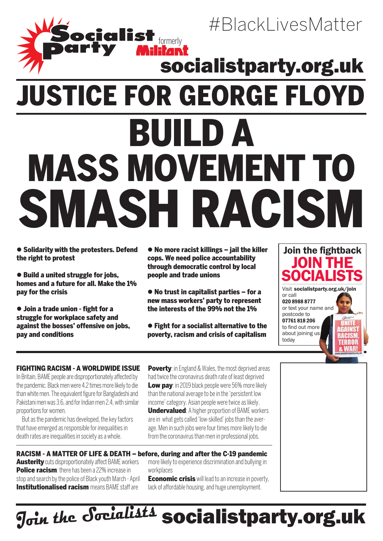# **cicilist<br>rty Miliant** Justice for George Floyd Build a mass movement to smash racism socialistparty.org.uk

 Solidarity with the protesters. Defend the right to protest

● Build a united struggle for jobs, homes and a future for all. Make the 1% pay for the crisis

 Join a trade union - fight for a struggle for workplace safety and against the bosses' offensive on jobs, pay and conditions

 No more racist killings – jail the killer cops. We need police accountability through democratic control by local people and trade unions

 No trust in capitalist parties – for a new mass workers' party to represent the interests of the 99% not the 1%

 Fight for a socialist alternative to the poverty, racism and crisis of capitalism



#BlackLivesMatter

### Fighting racism - a worldwide issue

In Britain, BAME people are disproportionately affected by the pandemic. Black men were 4.2 times more likely to die than white men. The equivalent figure for Bangladeshi and Pakistani men was 3.6, and for Indian men 2.4, with similar proportions for women.

But as the pandemic has developed, the key factors that have emerged as responsible for inequalities in death rates are inequalities in society as a whole.

**Poverty**: in England & Wales, the most deprived areas had twice the coronavirus death rate of least deprived Low pay: in 2019 black people were 56% more likely than the national average to be in the 'persistent low income' category. Asian people were twice as likely.

Undervalued: A higher proportion of BAME workers are in what gets called 'low-skilled' jobs than the average. Men in such jobs were four times more likely to die from the coronavirus than men in professional jobs.

**Austerity** cuts disproportionately affect BAME workers **Police racism**: there has been a 22% increase in stop and search by the police of Black youth March - April **Institutionalised racism** means BAME staff are more likely to experience discrimination and bullying in workplaces **Economic crisis** will lead to an increase in poverty, lack of affordable housing, and huge unemployment. Racism - a matter of life & death – before, during and after the C-19 pandemic

## socialistparty.org.uk **Join the Socialists**